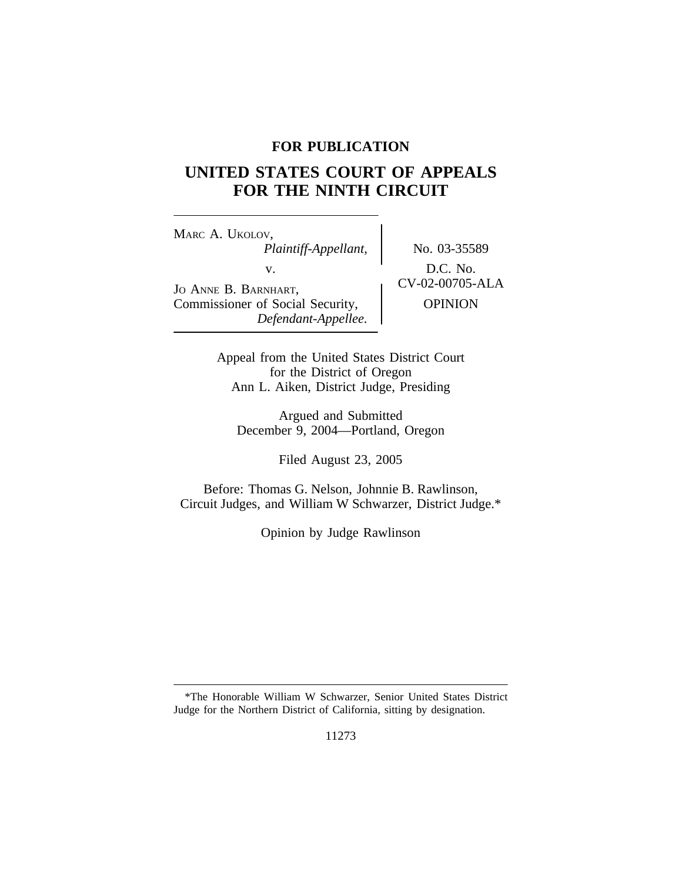## **FOR PUBLICATION**

# **UNITED STATES COURT OF APPEALS FOR THE NINTH CIRCUIT**

<sup>M</sup>ARC A. UKOLOV, *Plaintiff-Appellant,* No. 03-35589 V.<br>
JO ANNE B. BARNHART, CV-02-00705-ALA Commissioner of Social Security,  $\qquad$  OPINION *Defendant-Appellee.*

Appeal from the United States District Court for the District of Oregon Ann L. Aiken, District Judge, Presiding

Argued and Submitted December 9, 2004—Portland, Oregon

Filed August 23, 2005

Before: Thomas G. Nelson, Johnnie B. Rawlinson, Circuit Judges, and William W Schwarzer, District Judge.\*

Opinion by Judge Rawlinson

<sup>\*</sup>The Honorable William W Schwarzer, Senior United States District Judge for the Northern District of California, sitting by designation.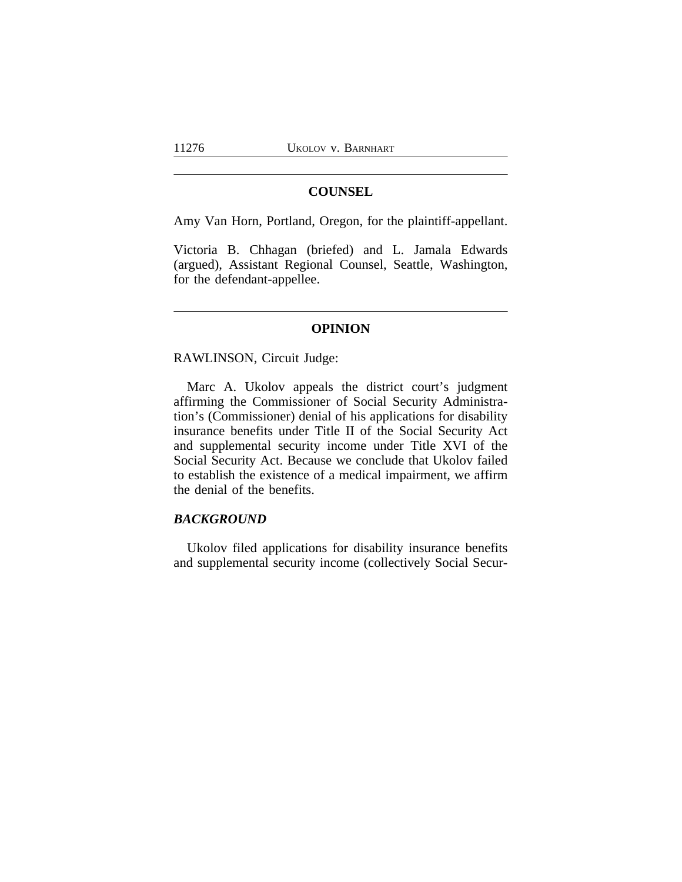#### **COUNSEL**

Amy Van Horn, Portland, Oregon, for the plaintiff-appellant.

Victoria B. Chhagan (briefed) and L. Jamala Edwards (argued), Assistant Regional Counsel, Seattle, Washington, for the defendant-appellee.

#### **OPINION**

RAWLINSON, Circuit Judge:

Marc A. Ukolov appeals the district court's judgment affirming the Commissioner of Social Security Administration's (Commissioner) denial of his applications for disability insurance benefits under Title II of the Social Security Act and supplemental security income under Title XVI of the Social Security Act. Because we conclude that Ukolov failed to establish the existence of a medical impairment, we affirm the denial of the benefits.

## *BACKGROUND*

Ukolov filed applications for disability insurance benefits and supplemental security income (collectively Social Secur-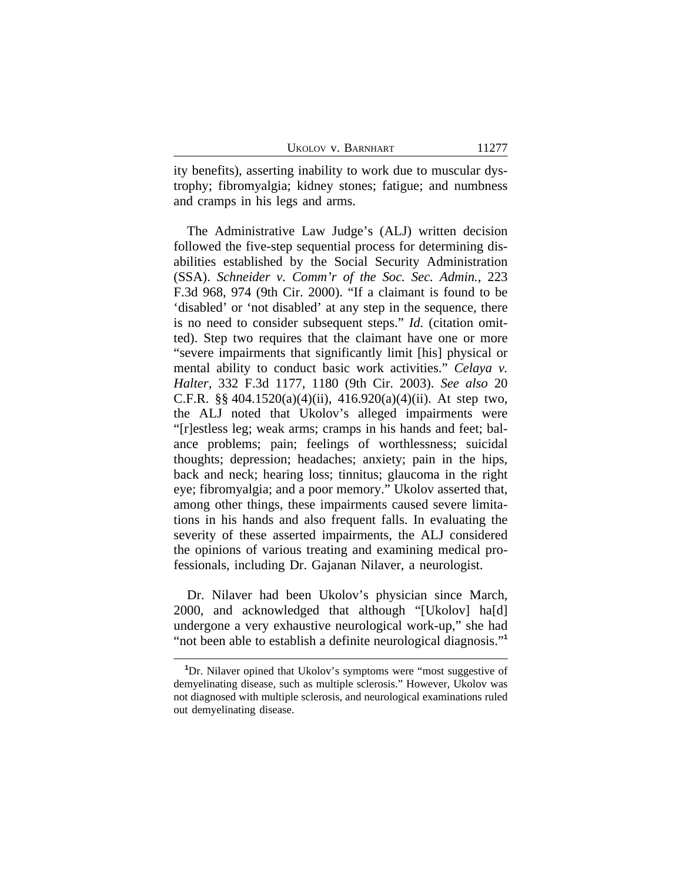|  | UKOLOV V. BARNHART |
|--|--------------------|
|--|--------------------|

ity benefits), asserting inability to work due to muscular dystrophy; fibromyalgia; kidney stones; fatigue; and numbness and cramps in his legs and arms.

The Administrative Law Judge's (ALJ) written decision followed the five-step sequential process for determining disabilities established by the Social Security Administration (SSA). *Schneider v. Comm'r of the Soc. Sec. Admin.*, 223 F.3d 968, 974 (9th Cir. 2000). "If a claimant is found to be 'disabled' or 'not disabled' at any step in the sequence, there is no need to consider subsequent steps." *Id.* (citation omitted). Step two requires that the claimant have one or more "severe impairments that significantly limit [his] physical or mental ability to conduct basic work activities." *Celaya v. Halter,* 332 F.3d 1177, 1180 (9th Cir. 2003). *See also* 20 C.F.R. §§ 404.1520(a)(4)(ii), 416.920(a)(4)(ii). At step two, the ALJ noted that Ukolov's alleged impairments were "[r]estless leg; weak arms; cramps in his hands and feet; balance problems; pain; feelings of worthlessness; suicidal thoughts; depression; headaches; anxiety; pain in the hips, back and neck; hearing loss; tinnitus; glaucoma in the right eye; fibromyalgia; and a poor memory." Ukolov asserted that, among other things, these impairments caused severe limitations in his hands and also frequent falls. In evaluating the severity of these asserted impairments, the ALJ considered the opinions of various treating and examining medical professionals, including Dr. Gajanan Nilaver, a neurologist.

Dr. Nilaver had been Ukolov's physician since March, 2000, and acknowledged that although "[Ukolov] ha[d] undergone a very exhaustive neurological work-up," she had "not been able to establish a definite neurological diagnosis."<sup>1</sup>

**<sup>1</sup>**Dr. Nilaver opined that Ukolov's symptoms were "most suggestive of demyelinating disease, such as multiple sclerosis." However, Ukolov was not diagnosed with multiple sclerosis, and neurological examinations ruled out demyelinating disease.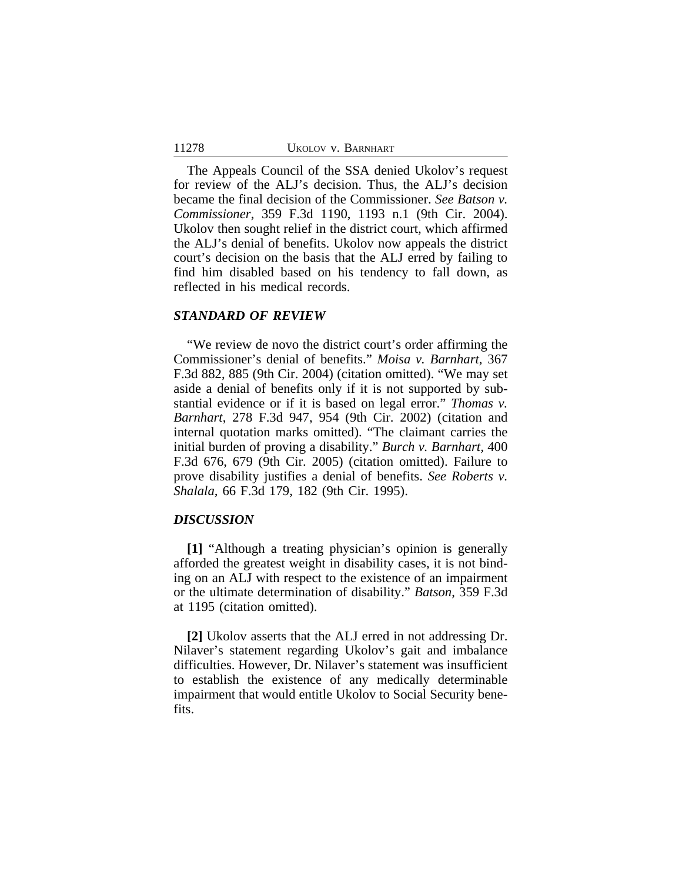The Appeals Council of the SSA denied Ukolov's request for review of the ALJ's decision. Thus, the ALJ's decision became the final decision of the Commissioner. *See Batson v. Commissioner*, 359 F.3d 1190, 1193 n.1 (9th Cir. 2004). Ukolov then sought relief in the district court, which affirmed the ALJ's denial of benefits. Ukolov now appeals the district court's decision on the basis that the ALJ erred by failing to find him disabled based on his tendency to fall down, as reflected in his medical records.

#### *STANDARD OF REVIEW*

11278

"We review de novo the district court's order affirming the Commissioner's denial of benefits." *Moisa v. Barnhart*, 367 F.3d 882, 885 (9th Cir. 2004) (citation omitted). "We may set aside a denial of benefits only if it is not supported by substantial evidence or if it is based on legal error." *Thomas v. Barnhart*, 278 F.3d 947, 954 (9th Cir. 2002) (citation and internal quotation marks omitted). "The claimant carries the initial burden of proving a disability." *Burch v. Barnhart,* 400 F.3d 676, 679 (9th Cir. 2005) (citation omitted). Failure to prove disability justifies a denial of benefits. *See Roberts v. Shalala,* 66 F.3d 179, 182 (9th Cir. 1995).

#### *DISCUSSION*

**[1]** "Although a treating physician's opinion is generally afforded the greatest weight in disability cases, it is not binding on an ALJ with respect to the existence of an impairment or the ultimate determination of disability." *Batson*, 359 F.3d at 1195 (citation omitted).

**[2]** Ukolov asserts that the ALJ erred in not addressing Dr. Nilaver's statement regarding Ukolov's gait and imbalance difficulties. However, Dr. Nilaver's statement was insufficient to establish the existence of any medically determinable impairment that would entitle Ukolov to Social Security benefits.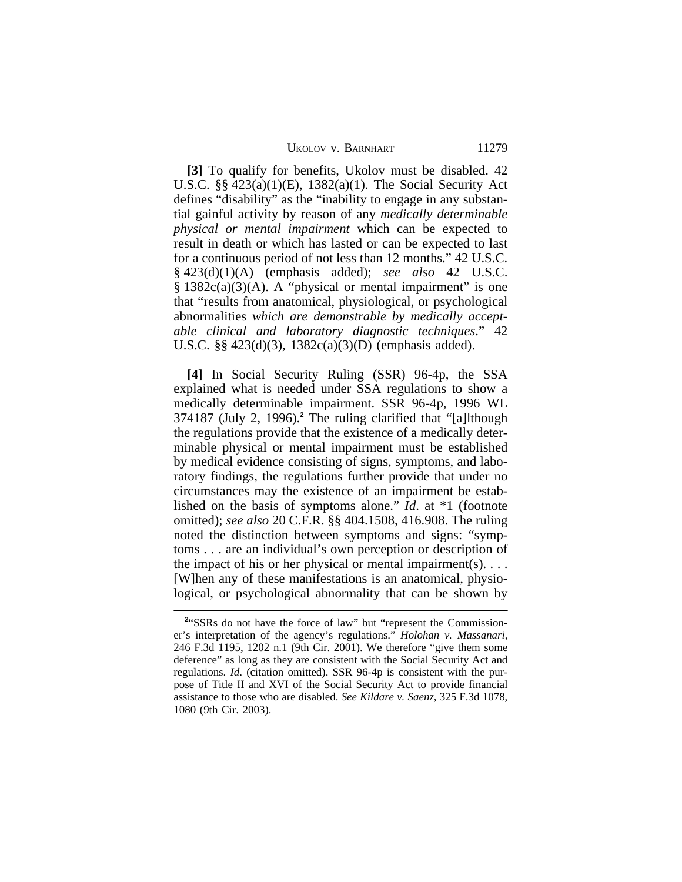11279

**[3]** To qualify for benefits, Ukolov must be disabled. 42 U.S.C. §§ 423(a)(1)(E), 1382(a)(1). The Social Security Act defines "disability" as the "inability to engage in any substantial gainful activity by reason of any *medically determinable physical or mental impairment* which can be expected to result in death or which has lasted or can be expected to last for a continuous period of not less than 12 months." 42 U.S.C. § 423(d)(1)(A) (emphasis added); *see also* 42 U.S.C.  $§ 1382c(a)(3)(A)$ . A "physical or mental impairment" is one that "results from anatomical, physiological, or psychological abnormalities *which are demonstrable by medically acceptable clinical and laboratory diagnostic techniques*." 42 U.S.C. §§ 423(d)(3), 1382c(a)(3)(D) (emphasis added).

**[4]** In Social Security Ruling (SSR) 96-4p, the SSA explained what is needed under SSA regulations to show a medically determinable impairment. SSR 96-4p, 1996 WL 374187 (July 2, 1996).**<sup>2</sup>** The ruling clarified that "[a]lthough the regulations provide that the existence of a medically determinable physical or mental impairment must be established by medical evidence consisting of signs, symptoms, and laboratory findings, the regulations further provide that under no circumstances may the existence of an impairment be established on the basis of symptoms alone." *Id*. at \*1 (footnote omitted); *see also* 20 C.F.R. §§ 404.1508, 416.908. The ruling noted the distinction between symptoms and signs: "symptoms . . . are an individual's own perception or description of the impact of his or her physical or mental impairment(s).  $\dots$ [W]hen any of these manifestations is an anatomical, physiological, or psychological abnormality that can be shown by

<sup>&</sup>lt;sup>2</sup>"SSRs do not have the force of law" but "represent the Commissioner's interpretation of the agency's regulations." *Holohan v. Massanari*, 246 F.3d 1195, 1202 n.1 (9th Cir. 2001). We therefore "give them some deference" as long as they are consistent with the Social Security Act and regulations. *Id*. (citation omitted). SSR 96-4p is consistent with the purpose of Title II and XVI of the Social Security Act to provide financial assistance to those who are disabled. *See Kildare v. Saenz,* 325 F.3d 1078, 1080 (9th Cir. 2003).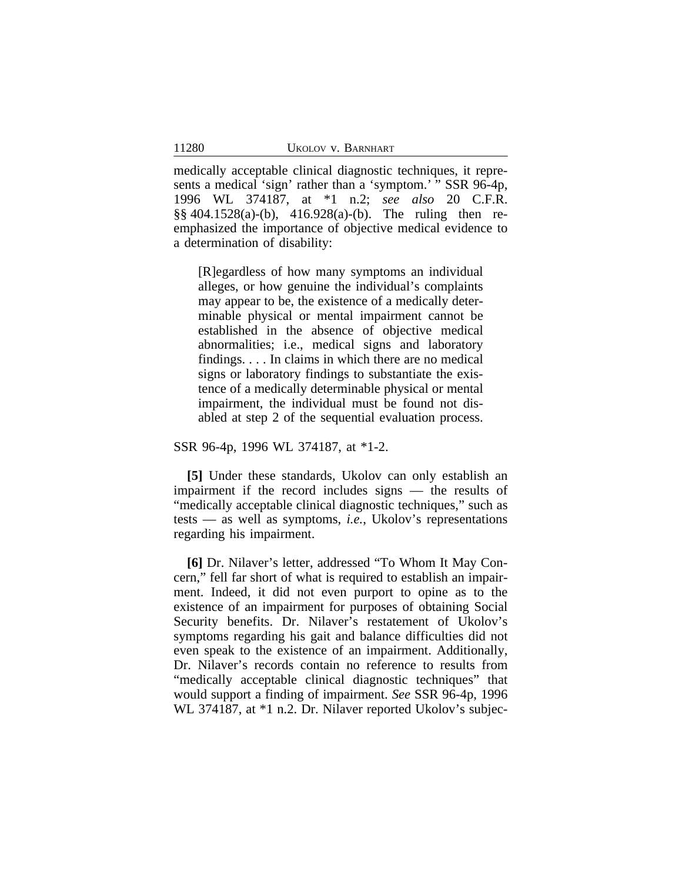medically acceptable clinical diagnostic techniques, it represents a medical 'sign' rather than a 'symptom.' " SSR 96-4p, 1996 WL 374187, at \*1 n.2; *see also* 20 C.F.R. §§ 404.1528(a)-(b), 416.928(a)-(b). The ruling then reemphasized the importance of objective medical evidence to a determination of disability:

[R]egardless of how many symptoms an individual alleges, or how genuine the individual's complaints may appear to be, the existence of a medically determinable physical or mental impairment cannot be established in the absence of objective medical abnormalities; i.e., medical signs and laboratory findings. . . . In claims in which there are no medical signs or laboratory findings to substantiate the existence of a medically determinable physical or mental impairment, the individual must be found not disabled at step 2 of the sequential evaluation process.

SSR 96-4p, 1996 WL 374187, at \*1-2.

**[5]** Under these standards, Ukolov can only establish an impairment if the record includes signs — the results of "medically acceptable clinical diagnostic techniques," such as tests — as well as symptoms, *i.e.*, Ukolov's representations regarding his impairment.

**[6]** Dr. Nilaver's letter, addressed "To Whom It May Concern," fell far short of what is required to establish an impairment. Indeed, it did not even purport to opine as to the existence of an impairment for purposes of obtaining Social Security benefits. Dr. Nilaver's restatement of Ukolov's symptoms regarding his gait and balance difficulties did not even speak to the existence of an impairment. Additionally, Dr. Nilaver's records contain no reference to results from "medically acceptable clinical diagnostic techniques" that would support a finding of impairment. *See* SSR 96-4p, 1996 WL 374187, at  $*1$  n.2. Dr. Nilaver reported Ukolov's subjec-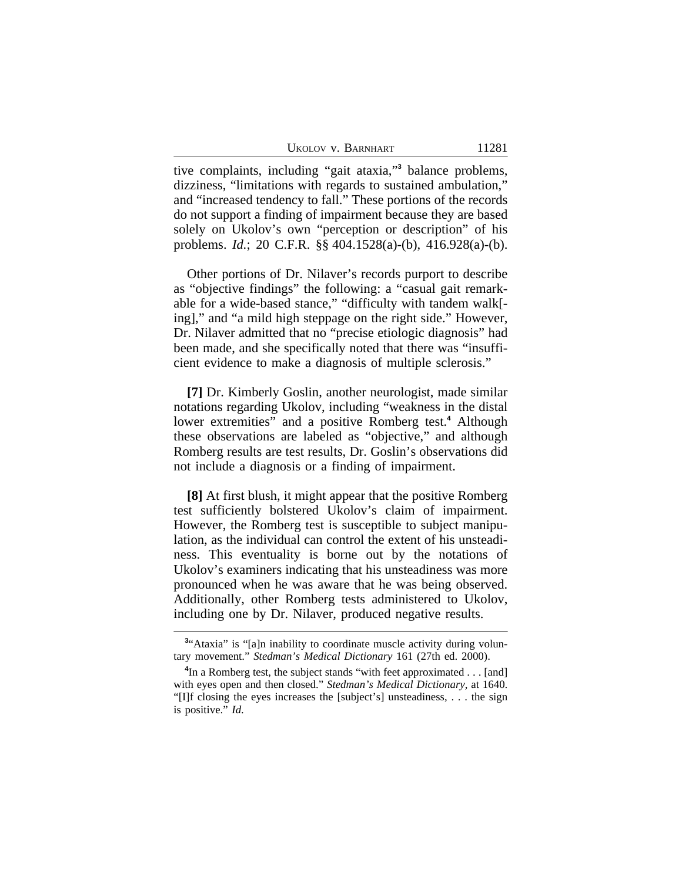tive complaints, including "gait ataxia," **3** balance problems, dizziness, "limitations with regards to sustained ambulation," and "increased tendency to fall." These portions of the records do not support a finding of impairment because they are based solely on Ukolov's own "perception or description" of his problems. *Id.*; 20 C.F.R. §§ 404.1528(a)-(b), 416.928(a)-(b).

Other portions of Dr. Nilaver's records purport to describe as "objective findings" the following: a "casual gait remarkable for a wide-based stance," "difficulty with tandem walk[ ing]," and "a mild high steppage on the right side." However, Dr. Nilaver admitted that no "precise etiologic diagnosis" had been made, and she specifically noted that there was "insufficient evidence to make a diagnosis of multiple sclerosis."

**[7]** Dr. Kimberly Goslin, another neurologist, made similar notations regarding Ukolov, including "weakness in the distal lower extremities" and a positive Romberg test.**<sup>4</sup>** Although these observations are labeled as "objective," and although Romberg results are test results, Dr. Goslin's observations did not include a diagnosis or a finding of impairment.

**[8]** At first blush, it might appear that the positive Romberg test sufficiently bolstered Ukolov's claim of impairment. However, the Romberg test is susceptible to subject manipulation, as the individual can control the extent of his unsteadiness. This eventuality is borne out by the notations of Ukolov's examiners indicating that his unsteadiness was more pronounced when he was aware that he was being observed. Additionally, other Romberg tests administered to Ukolov, including one by Dr. Nilaver, produced negative results.

<sup>&</sup>lt;sup>3</sup>"Ataxia" is "[a]n inability to coordinate muscle activity during voluntary movement." *Stedman's Medical Dictionary* 161 (27th ed. 2000).

<sup>&</sup>lt;sup>4</sup>In a Romberg test, the subject stands "with feet approximated . . . [and] with eyes open and then closed." *Stedman's Medical Dictionary*, at 1640. "[I]f closing the eyes increases the [subject's] unsteadiness, . . . the sign is positive." *Id*.